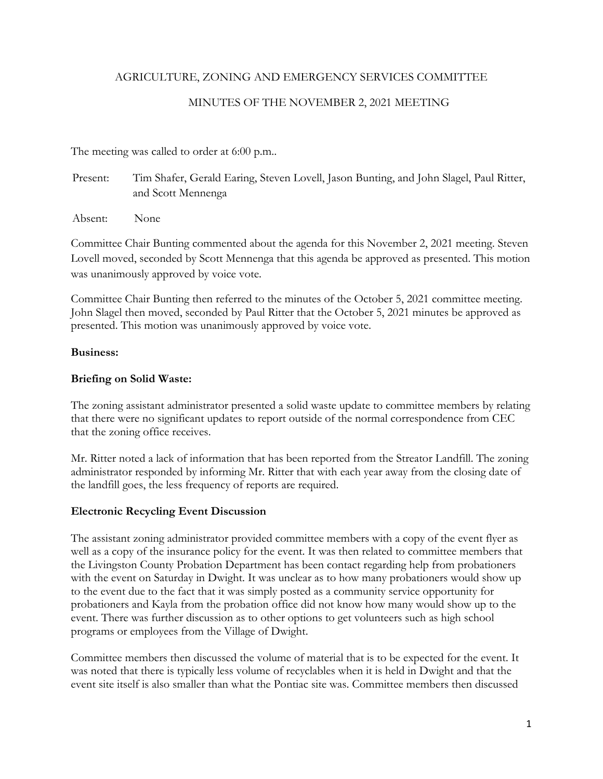# AGRICULTURE, ZONING AND EMERGENCY SERVICES COMMITTEE

### MINUTES OF THE NOVEMBER 2, 2021 MEETING

The meeting was called to order at 6:00 p.m..

 Present: Tim Shafer, Gerald Earing, Steven Lovell, Jason Bunting, and John Slagel, Paul Ritter, and Scott Mennenga

Absent: None

Committee Chair Bunting commented about the agenda for this November 2, 2021 meeting. Steven Lovell moved, seconded by Scott Mennenga that this agenda be approved as presented. This motion was unanimously approved by voice vote.

Committee Chair Bunting then referred to the minutes of the October 5, 2021 committee meeting. John Slagel then moved, seconded by Paul Ritter that the October 5, 2021 minutes be approved as presented. This motion was unanimously approved by voice vote.

#### **Business:**

## **Briefing on Solid Waste:**

The zoning assistant administrator presented a solid waste update to committee members by relating that there were no significant updates to report outside of the normal correspondence from CEC that the zoning office receives.

Mr. Ritter noted a lack of information that has been reported from the Streator Landfill. The zoning administrator responded by informing Mr. Ritter that with each year away from the closing date of the landfill goes, the less frequency of reports are required.

## **Electronic Recycling Event Discussion**

The assistant zoning administrator provided committee members with a copy of the event flyer as well as a copy of the insurance policy for the event. It was then related to committee members that the Livingston County Probation Department has been contact regarding help from probationers with the event on Saturday in Dwight. It was unclear as to how many probationers would show up to the event due to the fact that it was simply posted as a community service opportunity for probationers and Kayla from the probation office did not know how many would show up to the event. There was further discussion as to other options to get volunteers such as high school programs or employees from the Village of Dwight.

Committee members then discussed the volume of material that is to be expected for the event. It was noted that there is typically less volume of recyclables when it is held in Dwight and that the event site itself is also smaller than what the Pontiac site was. Committee members then discussed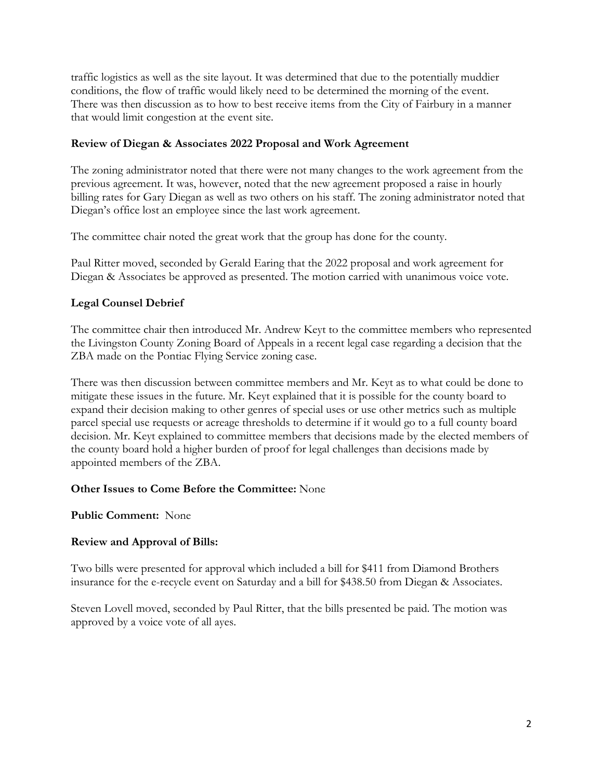traffic logistics as well as the site layout. It was determined that due to the potentially muddier conditions, the flow of traffic would likely need to be determined the morning of the event. There was then discussion as to how to best receive items from the City of Fairbury in a manner that would limit congestion at the event site.

#### **Review of Diegan & Associates 2022 Proposal and Work Agreement**

The zoning administrator noted that there were not many changes to the work agreement from the previous agreement. It was, however, noted that the new agreement proposed a raise in hourly billing rates for Gary Diegan as well as two others on his staff. The zoning administrator noted that Diegan's office lost an employee since the last work agreement.

The committee chair noted the great work that the group has done for the county.

Paul Ritter moved, seconded by Gerald Earing that the 2022 proposal and work agreement for Diegan & Associates be approved as presented. The motion carried with unanimous voice vote.

## **Legal Counsel Debrief**

The committee chair then introduced Mr. Andrew Keyt to the committee members who represented the Livingston County Zoning Board of Appeals in a recent legal case regarding a decision that the ZBA made on the Pontiac Flying Service zoning case.

There was then discussion between committee members and Mr. Keyt as to what could be done to mitigate these issues in the future. Mr. Keyt explained that it is possible for the county board to expand their decision making to other genres of special uses or use other metrics such as multiple parcel special use requests or acreage thresholds to determine if it would go to a full county board decision. Mr. Keyt explained to committee members that decisions made by the elected members of the county board hold a higher burden of proof for legal challenges than decisions made by appointed members of the ZBA.

## **Other Issues to Come Before the Committee:** None

**Public Comment:** None

## **Review and Approval of Bills:**

Two bills were presented for approval which included a bill for \$411 from Diamond Brothers insurance for the e-recycle event on Saturday and a bill for \$438.50 from Diegan & Associates.

Steven Lovell moved, seconded by Paul Ritter, that the bills presented be paid. The motion was approved by a voice vote of all ayes.